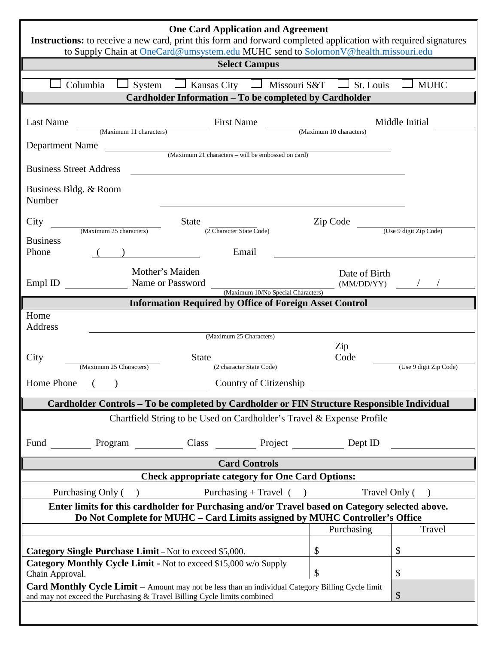| <b>One Card Application and Agreement</b>                                                                                                                                                            |                             |                        |
|------------------------------------------------------------------------------------------------------------------------------------------------------------------------------------------------------|-----------------------------|------------------------|
| Instructions: to receive a new card, print this form and forward completed application with required signatures<br>to Supply Chain at OneCard@umsystem.edu MUHC send to SolomonV@health.missouri.edu |                             |                        |
| <b>Select Campus</b>                                                                                                                                                                                 |                             |                        |
| Columbia<br>Missouri S&T<br>Kansas City<br>System                                                                                                                                                    | St. Louis                   | <b>MUHC</b>            |
| Cardholder Information - To be completed by Cardholder                                                                                                                                               |                             |                        |
| <b>First Name</b><br><b>Last Name</b><br>(Maximum 11 characters)                                                                                                                                     | (Maximum 10 characters)     | Middle Initial         |
| Department Name<br>(Maximum 21 characters - will be embossed on card)                                                                                                                                |                             |                        |
| <b>Business Street Address</b>                                                                                                                                                                       |                             |                        |
| Business Bldg. & Room<br>Number                                                                                                                                                                      |                             |                        |
| <b>State</b><br>City<br>(Maximum 25 characters)<br>(2 Character State Code)                                                                                                                          | Zip Code                    | (Use 9 digit Zip Code) |
| <b>Business</b>                                                                                                                                                                                      |                             |                        |
| Phone<br>Email                                                                                                                                                                                       |                             |                        |
| Mother's Maiden<br>Name or Password<br>Empl ID                                                                                                                                                       | Date of Birth<br>(MM/DD/YY) |                        |
| (Maximum 10/No Special Characters)<br><b>Information Required by Office of Foreign Asset Control</b>                                                                                                 |                             |                        |
| Home<br>Address<br>(Maximum 25 Characters)                                                                                                                                                           | Zip                         |                        |
| <b>State</b><br>City                                                                                                                                                                                 | Code                        |                        |
| (Maximum 25 Characters)<br>(2 character State Code)                                                                                                                                                  |                             | (Use 9 digit Zip Code) |
| <b>Home Phone</b><br>Country of Citizenship                                                                                                                                                          |                             |                        |
| Cardholder Controls - To be completed by Cardholder or FIN Structure Responsible Individual                                                                                                          |                             |                        |
| Chartfield String to be Used on Cardholder's Travel & Expense Profile                                                                                                                                |                             |                        |
| <b>Fund</b><br>Program Class Class Project Dept ID                                                                                                                                                   |                             |                        |
| <b>Card Controls</b>                                                                                                                                                                                 |                             |                        |
| <b>Check appropriate category for One Card Options:</b>                                                                                                                                              |                             |                        |
| Purchasing Only ()<br>Purchasing + Travel $($ )                                                                                                                                                      | Travel Only (               |                        |
| Enter limits for this cardholder for Purchasing and/or Travel based on Category selected above.<br>Do Not Complete for MUHC - Card Limits assigned by MUHC Controller's Office                       |                             |                        |
|                                                                                                                                                                                                      | Purchasing                  | Travel                 |
| <b>Category Single Purchase Limit</b> – Not to exceed \$5,000.                                                                                                                                       | \$                          | \$                     |
| Category Monthly Cycle Limit - Not to exceed \$15,000 w/o Supply                                                                                                                                     |                             |                        |
| Chain Approval.<br><b>Card Monthly Cycle Limit</b> – Amount may not be less than an individual Category Billing Cycle limit                                                                          | \$                          | \$                     |
| $\boldsymbol{\mathsf{S}}$<br>and may not exceed the Purchasing & Travel Billing Cycle limits combined                                                                                                |                             |                        |
|                                                                                                                                                                                                      |                             |                        |